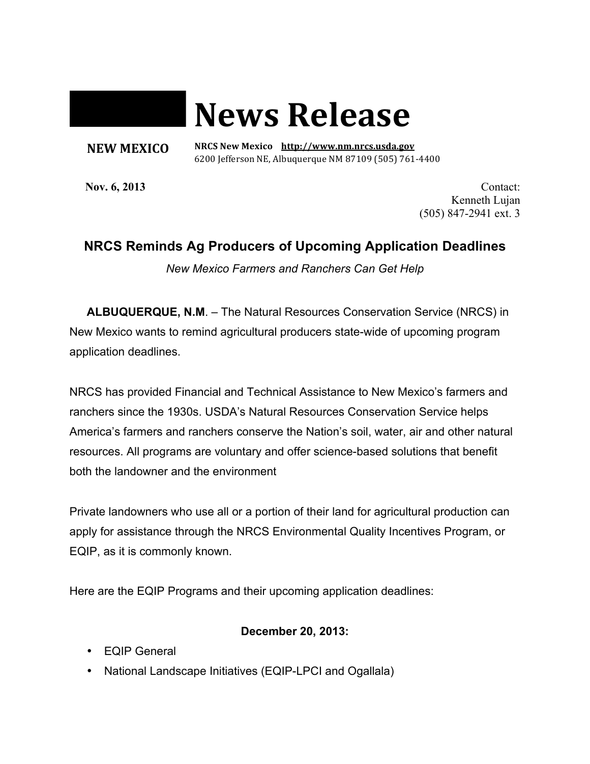# **News Release**

#### **NEW MEXICO**

 **NRCS New Mexico http://www.nm.nrcs.usda.gov** 6200 Jefferson NE, Albuquerque NM 87109 (505) 761-4400

**Nov. 6, 2013 Contact:** Kenneth Lujan (505) 847-2941 ext. 3

## **NRCS Reminds Ag Producers of Upcoming Application Deadlines**

*New Mexico Farmers and Ranchers Can Get Help*

**ALBUQUERQUE, N.M**. – The Natural Resources Conservation Service (NRCS) in New Mexico wants to remind agricultural producers state-wide of upcoming program application deadlines.

NRCS has provided Financial and Technical Assistance to New Mexico's farmers and ranchers since the 1930s. USDA's Natural Resources Conservation Service helps America's farmers and ranchers conserve the Nation's soil, water, air and other natural resources. All programs are voluntary and offer science-based solutions that benefit both the landowner and the environment

Private landowners who use all or a portion of their land for agricultural production can apply for assistance through the NRCS Environmental Quality Incentives Program, or EQIP, as it is commonly known.

Here are the EQIP Programs and their upcoming application deadlines:

### **December 20, 2013:**

- EQIP General
- National Landscape Initiatives (EQIP-LPCI and Ogallala)